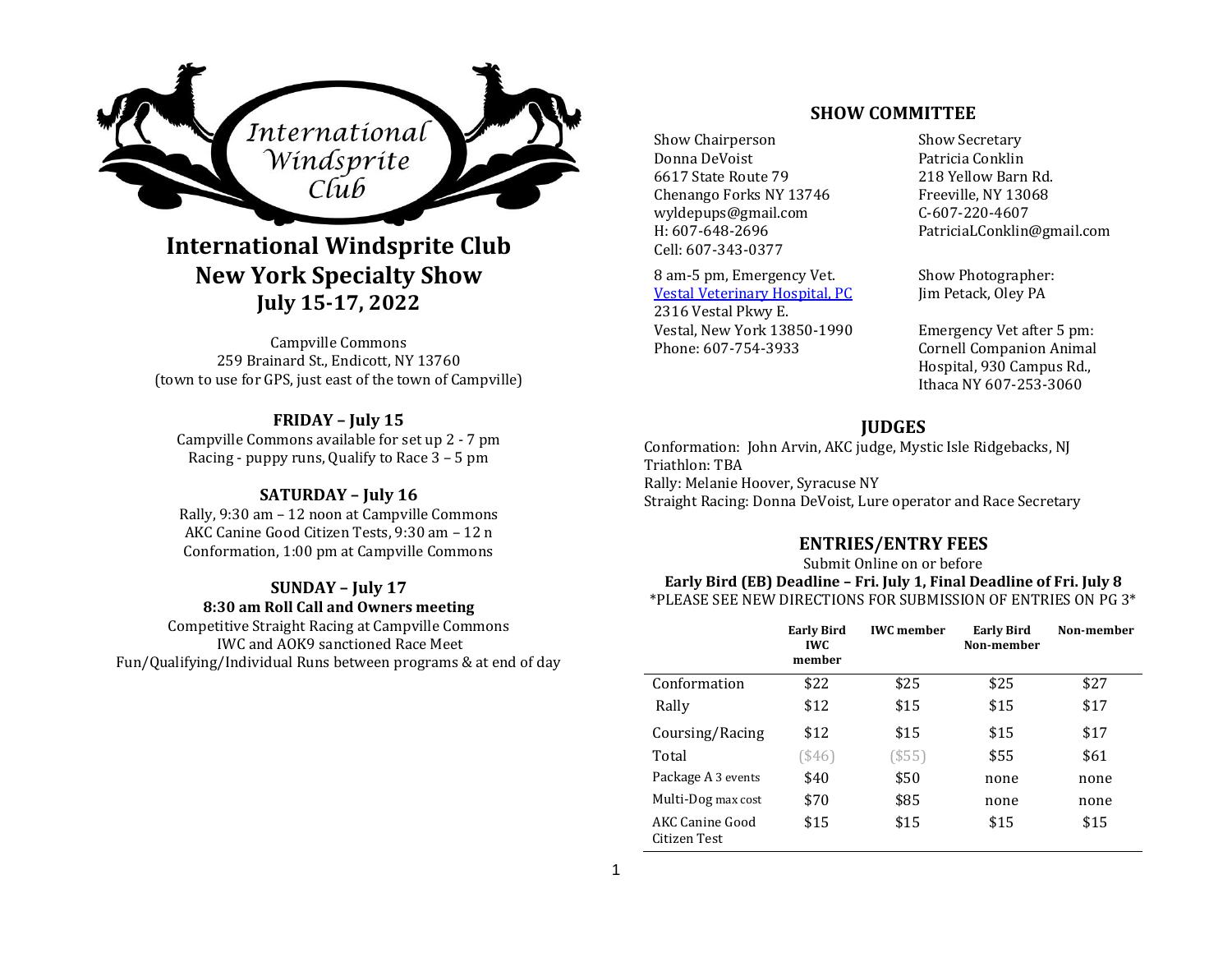

# **International Windsprite Club New York Specialty Show July 15-17, 2022**

Campville Commons 259 Brainard St., Endicott, NY 13760 (town to use for GPS, just east of the town of Campville)

**FRIDAY – July 15** Campville Commons available for set up 2 - 7 pm Racing - puppy runs, Qualify to Race 3 – 5 pm

# **SATURDAY – July 16**

Rally, 9:30 am – 12 noon at Campville Commons AKC Canine Good Citizen Tests, 9:30 am – 12 n Conformation, 1:00 pm at Campville Commons

#### **SUNDAY – July 17 8:30 am Roll Call and Owners meeting**

Competitive Straight Racing at Campville Commons IWC and AOK9 sanctioned Race Meet Fun/Qualifying/Individual Runs between programs & at end of day

# **SHOW COMMITTEE**

Show Chairperson Show Secretary Donna DeVoist 6617 State Route 79 Chenango Forks NY 13746 wyldepups@gmail.com H: 607-648-2696 Cell: 607-343-0377

8 am-5 pm, Emergency Vet. Vestal Veterinary Hospital, PC 2316 Vestal Pkwy E. Vestal, New York 13850-1990 Phone: 607-754-3933

Patricia Conklin 218 Yellow Barn Rd. Freeville, NY 13068 C-607-220-4607 PatriciaLConklin@gmail.com

Show Photographer: Jim Petack, Oley PA

Emergency Vet after 5 pm: Cornell Companion Animal Hospital, 930 Campus Rd., Ithaca NY 607-253-3060

# **JUDGES**

Conformation: John Arvin, AKC judge, Mystic Isle Ridgebacks, NJ Triathlon: TBA Rally: Melanie Hoover, Syracuse NY Straight Racing: Donna DeVoist, Lure operator and Race Secretary

# **ENTRIES/ENTRY FEES**

Submit Online on or before

**Early Bird (EB) Deadline – Fri. July 1, Final Deadline of Fri. July 8** \*PLEASE SEE NEW DIRECTIONS FOR SUBMISSION OF ENTRIES ON PG 3\*

|                                 | <b>Early Bird</b><br><b>IWC</b><br>member | <b>IWC</b> member | <b>Early Bird</b><br>Non-member | Non-member |
|---------------------------------|-------------------------------------------|-------------------|---------------------------------|------------|
| Conformation                    | \$22                                      | \$25              | \$25                            | \$27       |
| Rally                           | \$12                                      | \$15              | \$15                            | \$17       |
| Coursing/Racing                 | \$12                                      | \$15              | \$15                            | \$17       |
| Total                           | \$46)                                     | (\$55)            | \$55                            | \$61       |
| Package A 3 events              | \$40                                      | \$50              | none                            | none       |
| Multi-Dog max cost              | \$70                                      | \$85              | none                            | none       |
| AKC Canine Good<br>Citizen Test | \$15                                      | \$15              | \$15                            | \$15       |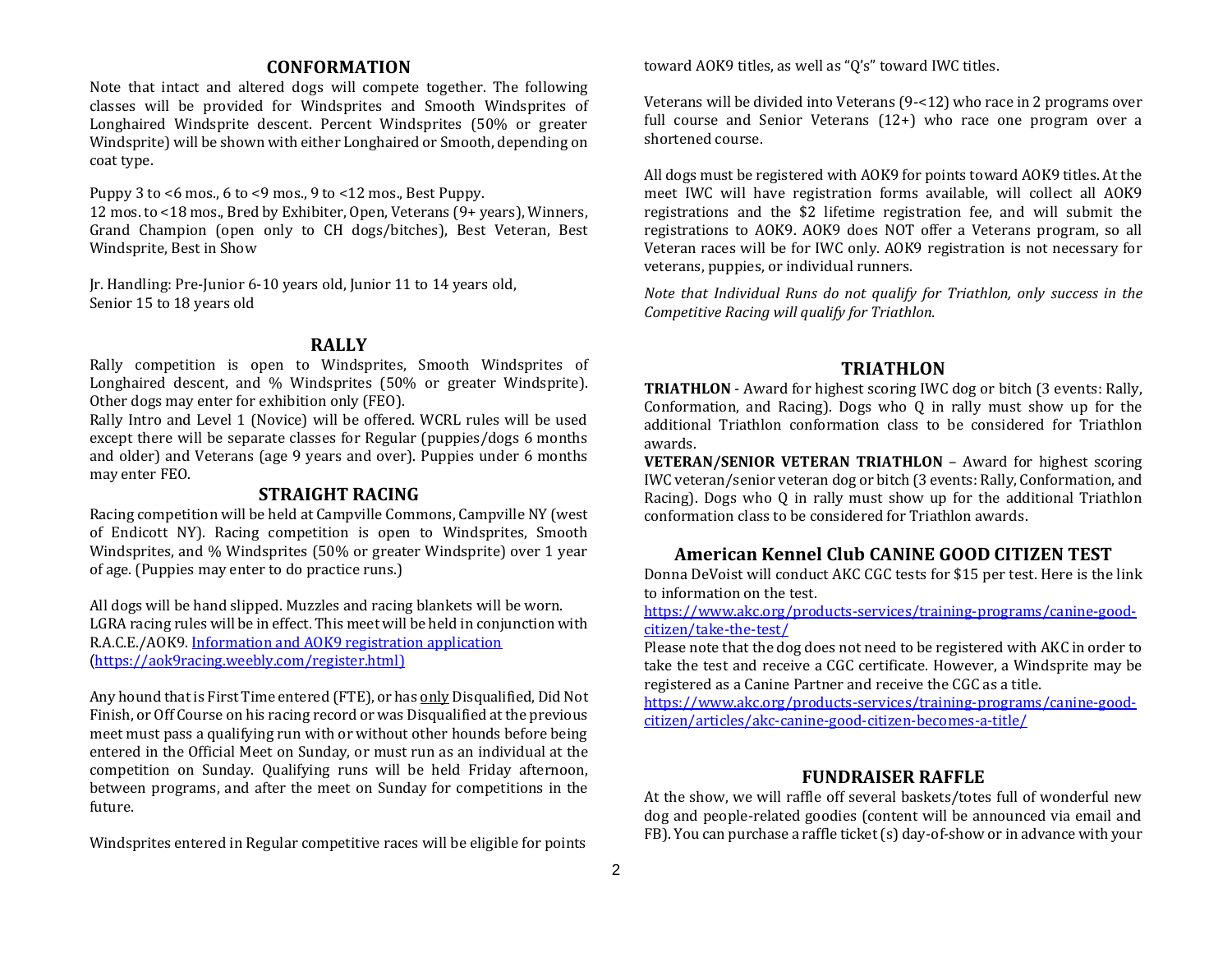# **CONFORMATION**

Note that intact and altered dogs will compete together. The following classes will be provided for Windsprites and Smooth Windsprites of Longhaired Windsprite descent. Percent Windsprites (50% or greater Windsprite) will be shown with either Longhaired or Smooth, depending on coat type.

Puppy 3 to <6 mos., 6 to <9 mos., 9 to <12 mos., Best Puppy. 12 mos. to <18 mos., Bred by Exhibiter, Open, Veterans (9+ years), Winners, Grand Champion (open only to CH dogs/bitches), Best Veteran, Best Windsprite, Best in Show

Jr. Handling: Pre-Junior 6-10 years old, Junior 11 to 14 years old, Senior 15 to 18 years old

#### **RALLY**

Rally competition is open to Windsprites, Smooth Windsprites of Longhaired descent, and % Windsprites (50% or greater Windsprite). Other dogs may enter for exhibition only (FEO).

Rally Intro and Level 1 (Novice) will be offered. WCRL rules will be used except there will be separate classes for Regular (puppies/dogs 6 months and older) and Veterans (age 9 years and over). Puppies under 6 months may enter FEO.

#### **STRAIGHT RACING**

Racing competition will be held at Campville Commons, Campville NY (west of Endicott NY). Racing competition is open to Windsprites, Smooth Windsprites, and % Windsprites (50% or greater Windsprite) over 1 year of age. (Puppies may enter to do practice runs.)

All dogs will be hand slipped. Muzzles and racing blankets will be worn. LGRA racing rules will be in effect. This meet will be held in conjunction with R.A.C.E./AOK9. Information and AOK9 registration application (https://aok9racing.weebly.com/register.html)

Any hound that is First Time entered (FTE), or has only Disqualified, Did Not Finish, or Off Course on his racing record or was Disqualified at the previous meet must pass a qualifying run with or without other hounds before being entered in the Official Meet on Sunday, or must run as an individual at the competition on Sunday. Qualifying runs will be held Friday afternoon, between programs, and after the meet on Sunday for competitions in the future.

Windsprites entered in Regular competitive races will be eligible for points

toward AOK9 titles, as well as "Q's" toward IWC titles.

Veterans will be divided into Veterans (9-<12) who race in 2 programs over full course and Senior Veterans (12+) who race one program over a shortened course.

All dogs must be registered with AOK9 for points toward AOK9 titles. At the meet IWC will have registration forms available, will collect all AOK9 registrations and the \$2 lifetime registration fee, and will submit the registrations to AOK9. AOK9 does NOT offer a Veterans program, so all Veteran races will be for IWC only. AOK9 registration is not necessary for veterans, puppies, or individual runners.

*Note that Individual Runs do not qualify for Triathlon, only success in the Competitive Racing will qualify for Triathlon.*

#### **TRIATHLON**

**TRIATHLON** - Award for highest scoring IWC dog or bitch (3 events: Rally, Conformation, and Racing). Dogs who Q in rally must show up for the additional Triathlon conformation class to be considered for Triathlon awards.

**VETERAN/SENIOR VETERAN TRIATHLON** – Award for highest scoring IWC veteran/senior veteran dog or bitch (3 events: Rally, Conformation, and Racing). Dogs who Q in rally must show up for the additional Triathlon conformation class to be considered for Triathlon awards.

# **American Kennel Club CANINE GOOD CITIZEN TEST**

Donna DeVoist will conduct AKC CGC tests for \$15 per test. Here is the link to information on the test.

https://www.akc.org/products-services/training-programs/canine-goodcitizen/take-the-test/

Please note that the dog does not need to be registered with AKC in order to take the test and receive a CGC certificate. However, a Windsprite may be registered as a Canine Partner and receive the CGC as a title.

https://www.akc.org/products-services/training-programs/canine-goodcitizen/articles/akc-canine-good-citizen-becomes-a-title/

### **FUNDRAISER RAFFLE**

At the show, we will raffle off several baskets/totes full of wonderful new dog and people-related goodies (content will be announced via email and FB). You can purchase a raffle ticket (s) day-of-show or in advance with your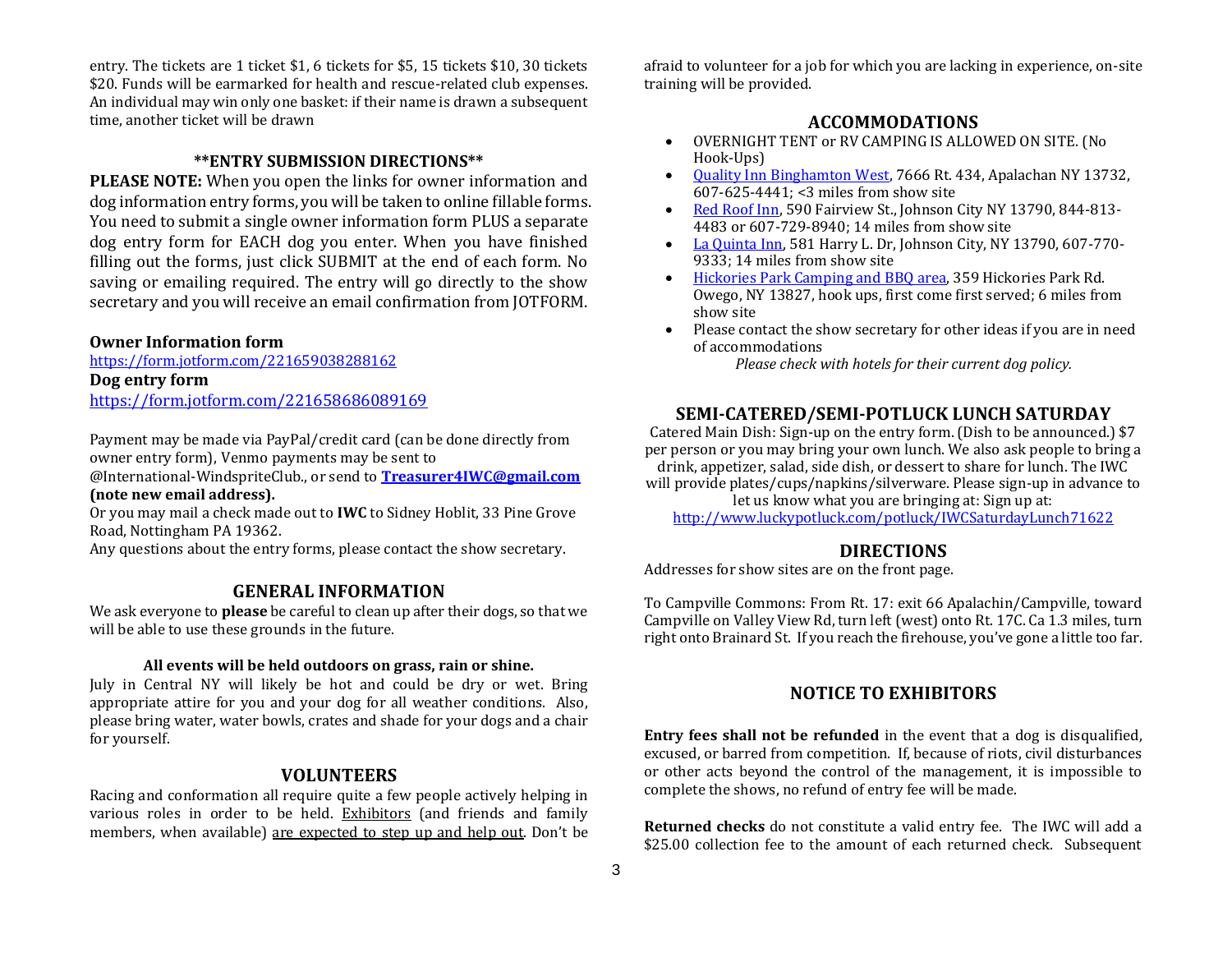entry. The tickets are 1 ticket \$1, 6 tickets for \$5, 15 tickets \$10, 30 tickets \$20. Funds will be earmarked for health and rescue-related club expenses. An individual may win only one basket: if their name is drawn a subsequent time, another ticket will be drawn

#### **\*\*ENTRY SUBMISSION DIRECTIONS\*\***

**PLEASE NOTE:** When you open the links for owner information and dog information entry forms, you will be taken to online fillable forms. You need to submit a single owner information form PLUS a separate dog entry form for EACH dog you enter. When you have finished filling out the forms, just click SUBMIT at the end of each form. No saving or emailing required. The entry will go directly to the show secretary and you will receive an email confirmation from JOTFORM.

#### **Owner Information form**

https://form.jotform.com/221659038288162 **Dog entry form** https://form.jotform.com/221658686089169

Payment may be made via PayPal/credit card (can be done directly from owner entry form), Venmo payments may be sent to

@International-WindspriteClub., or send to **Treasurer4IWC@gmail.com (note new email address).** 

Or you may mail a check made out to **IWC** to Sidney Hoblit, 33 Pine Grove Road, Nottingham PA 19362.

Any questions about the entry forms, please contact the show secretary.

#### **GENERAL INFORMATION**

We ask everyone to **please** be careful to clean up after their dogs, so that we will be able to use these grounds in the future.

#### **All events will be held outdoors on grass, rain or shine.**

July in Central NY will likely be hot and could be dry or wet. Bring appropriate attire for you and your dog for all weather conditions. Also, please bring water, water bowls, crates and shade for your dogs and a chair for yourself.

#### **VOLUNTEERS**

Racing and conformation all require quite a few people actively helping in various roles in order to be held. Exhibitors (and friends and family members, when available) are expected to step up and help out. Don't be afraid to volunteer for a job for which you are lacking in experience, on-site training will be provided.

# **ACCOMMODATIONS**

- OVERNIGHT TENT or RV CAMPING IS ALLOWED ON SITE. (No Hook-Ups)
- Quality Inn Binghamton West, 7666 Rt. 434, Apalachan NY 13732, 607-625-4441; <3 miles from show site
- Red Roof Inn, 590 Fairview St., Johnson City NY 13790, 844-813- 4483 or 607-729-8940; 14 miles from show site
- La Quinta Inn, 581 Harry L. Dr, Johnson City, NY 13790, 607-770- 9333; 14 miles from show site
- Hickories Park Camping and BBQ area, 359 Hickories Park Rd. Owego, NY 13827, hook ups, first come first served; 6 miles from show site
- Please contact the show secretary for other ideas if you are in need of accommodations

*Please check with hotels for their current dog policy.*

## **SEMI-CATERED/SEMI-POTLUCK LUNCH SATURDAY**

Catered Main Dish: Sign-up on the entry form. (Dish to be announced.) \$7 per person or you may bring your own lunch. We also ask people to bring a drink, appetizer, salad, side dish, or dessert to share for lunch. The IWC will provide plates/cups/napkins/silverware. Please sign-up in advance to let us know what you are bringing at: Sign up at:

http://www.luckypotluck.com/potluck/IWCSaturdayLunch71622

### **DIRECTIONS**

Addresses for show sites are on the front page.

To Campville Commons: From Rt. 17: exit 66 Apalachin/Campville, toward Campville on Valley View Rd, turn left (west) onto Rt. 17C. Ca 1.3 miles, turn right onto Brainard St. If you reach the firehouse, you've gone a little too far.

# **NOTICE TO EXHIBITORS**

**Entry fees shall not be refunded** in the event that a dog is disqualified, excused, or barred from competition. If, because of riots, civil disturbances or other acts beyond the control of the management, it is impossible to complete the shows, no refund of entry fee will be made.

**Returned checks** do not constitute a valid entry fee. The IWC will add a \$25.00 collection fee to the amount of each returned check. Subsequent